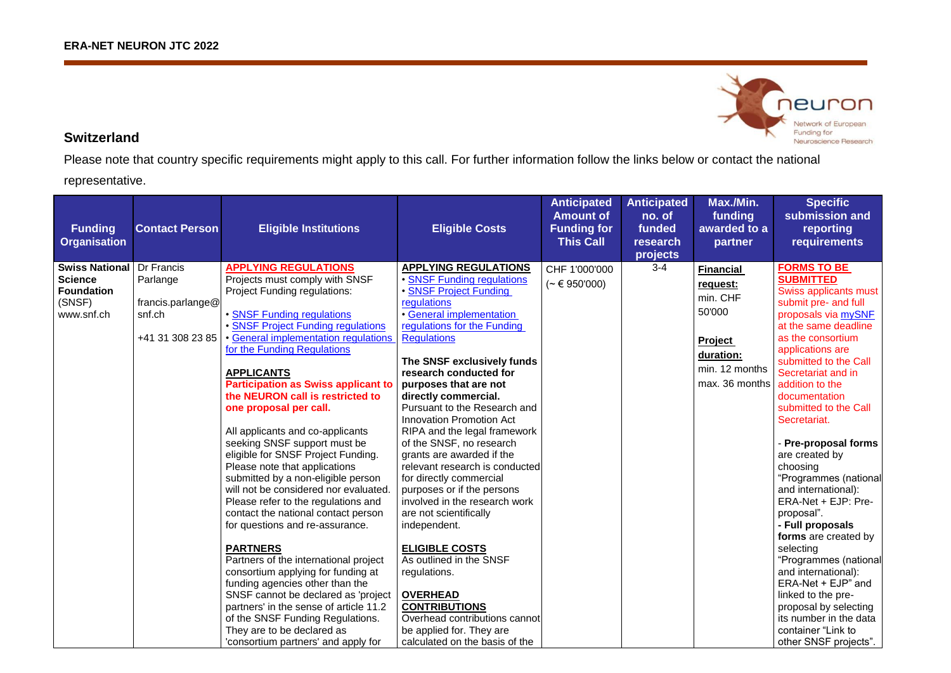

## **Switzerland**

Please note that country specific requirements might apply to this call. For further information follow the links below or contact the national

representative.

| <b>Funding</b><br><b>Organisation</b>                                                | <b>Contact Person</b>                                                     | <b>Eligible Institutions</b>                                                                                                                                                                                                                                                                                                                                                                                                                                                                                                                                                                                                                                                                                                                                                                                                                                                                                                                                                                                                                       | <b>Eligible Costs</b>                                                                                                                                                                                                                                                                                                                                                                                                                                                                                                                                                                                                                                                                                                                                                                                                                             | <b>Anticipated</b><br><b>Amount of</b><br><b>Funding for</b><br><b>This Call</b> | <b>Anticipated</b><br>no. of<br>funded<br>research<br>projects | Max./Min.<br>funding<br>awarded to a<br>partner                                                                | <b>Specific</b><br>submission and<br>reporting<br>requirements                                                                                                                                                                                                                                                                                                                                                                                                                                                                                                                                                                                                                                                |
|--------------------------------------------------------------------------------------|---------------------------------------------------------------------------|----------------------------------------------------------------------------------------------------------------------------------------------------------------------------------------------------------------------------------------------------------------------------------------------------------------------------------------------------------------------------------------------------------------------------------------------------------------------------------------------------------------------------------------------------------------------------------------------------------------------------------------------------------------------------------------------------------------------------------------------------------------------------------------------------------------------------------------------------------------------------------------------------------------------------------------------------------------------------------------------------------------------------------------------------|---------------------------------------------------------------------------------------------------------------------------------------------------------------------------------------------------------------------------------------------------------------------------------------------------------------------------------------------------------------------------------------------------------------------------------------------------------------------------------------------------------------------------------------------------------------------------------------------------------------------------------------------------------------------------------------------------------------------------------------------------------------------------------------------------------------------------------------------------|----------------------------------------------------------------------------------|----------------------------------------------------------------|----------------------------------------------------------------------------------------------------------------|---------------------------------------------------------------------------------------------------------------------------------------------------------------------------------------------------------------------------------------------------------------------------------------------------------------------------------------------------------------------------------------------------------------------------------------------------------------------------------------------------------------------------------------------------------------------------------------------------------------------------------------------------------------------------------------------------------------|
| <b>Swiss National</b><br><b>Science</b><br><b>Foundation</b><br>(SNSF)<br>www.snf.ch | Dr Francis<br>Parlange<br>francis.parlange@<br>snf.ch<br>+41 31 308 23 85 | <b>APPLYING REGULATIONS</b><br>Projects must comply with SNSF<br>Project Funding regulations:<br>• SNSF Funding regulations<br>· SNSF Project Funding regulations<br>· General implementation regulations<br>for the Funding Regulations<br><b>APPLICANTS</b><br><b>Participation as Swiss applicant to</b><br>the NEURON call is restricted to<br>one proposal per call.<br>All applicants and co-applicants<br>seeking SNSF support must be<br>eligible for SNSF Project Funding.<br>Please note that applications<br>submitted by a non-eligible person<br>will not be considered nor evaluated<br>Please refer to the regulations and<br>contact the national contact person<br>for questions and re-assurance.<br><b>PARTNERS</b><br>Partners of the international project<br>consortium applying for funding at<br>funding agencies other than the<br>SNSF cannot be declared as 'project<br>partners' in the sense of article 11.2<br>of the SNSF Funding Regulations.<br>They are to be declared as<br>'consortium partners' and apply for | <b>APPLYING REGULATIONS</b><br>• SNSF Funding regulations<br><b>SNSF Project Funding</b><br>regulations<br>• General implementation<br>regulations for the Funding<br><b>Regulations</b><br>The SNSF exclusively funds<br>research conducted for<br>purposes that are not<br>directly commercial.<br>Pursuant to the Research and<br><b>Innovation Promotion Act</b><br>RIPA and the legal framework<br>of the SNSF, no research<br>grants are awarded if the<br>relevant research is conducted<br>for directly commercial<br>purposes or if the persons<br>involved in the research work<br>are not scientifically<br>independent.<br><b>ELIGIBLE COSTS</b><br>As outlined in the SNSF<br>regulations.<br><b>OVERHEAD</b><br><b>CONTRIBUTIONS</b><br>Overhead contributions cannot<br>be applied for. They are<br>calculated on the basis of the | CHF 1'000'000<br>$({\sim} \in 950'000)$                                          | $3 - 4$                                                        | <b>Financial</b><br>request:<br>min. CHF<br>50'000<br>Project<br>duration:<br>min. 12 months<br>max. 36 months | <b>FORMS TO BE</b><br><b>SUBMITTED</b><br>Swiss applicants must<br>submit pre- and full<br>proposals via mySNF<br>at the same deadline<br>as the consortium<br>applications are<br>submitted to the Call<br>Secretariat and in<br>addition to the<br>documentation<br>submitted to the Call<br>Secretariat.<br>- Pre-proposal forms<br>are created by<br>choosing<br>"Programmes (national<br>and international):<br>ERA-Net + EJP: Pre-<br>proposal".<br>- Full proposals<br>forms are created by<br>selecting<br>"Programmes (national<br>and international):<br>ERA-Net + EJP" and<br>linked to the pre-<br>proposal by selecting<br>its number in the data<br>container "Link to<br>other SNSF projects". |